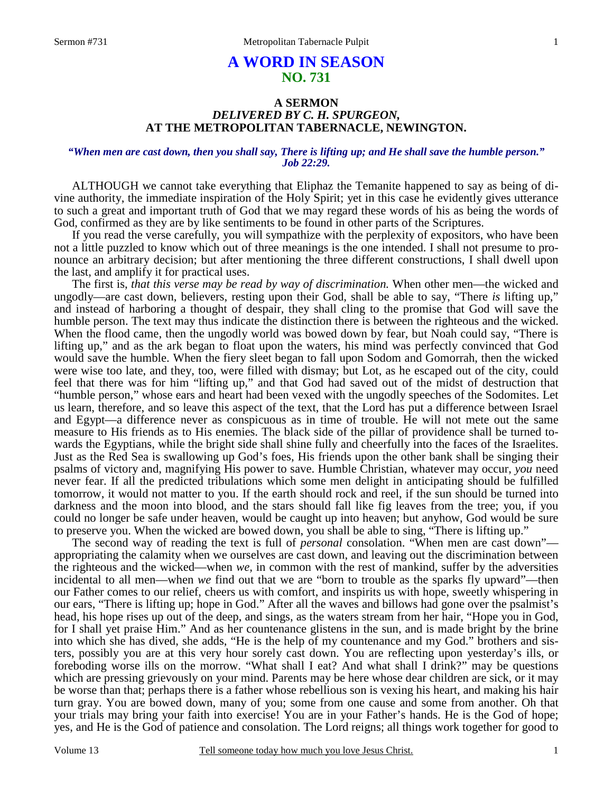### 1

# **A WORD IN SEASON NO. 731**

### **A SERMON**  *DELIVERED BY C. H. SPURGEON,*  **AT THE METROPOLITAN TABERNACLE, NEWINGTON.**

### *"When men are cast down, then you shall say, There is lifting up; and He shall save the humble person." Job 22:29.*

ALTHOUGH we cannot take everything that Eliphaz the Temanite happened to say as being of divine authority, the immediate inspiration of the Holy Spirit; yet in this case he evidently gives utterance to such a great and important truth of God that we may regard these words of his as being the words of God, confirmed as they are by like sentiments to be found in other parts of the Scriptures.

 If you read the verse carefully, you will sympathize with the perplexity of expositors, who have been not a little puzzled to know which out of three meanings is the one intended. I shall not presume to pronounce an arbitrary decision; but after mentioning the three different constructions, I shall dwell upon the last, and amplify it for practical uses.

 The first is, *that this verse may be read by way of discrimination.* When other men—the wicked and ungodly—are cast down, believers, resting upon their God, shall be able to say, "There *is* lifting up," and instead of harboring a thought of despair, they shall cling to the promise that God will save the humble person. The text may thus indicate the distinction there is between the righteous and the wicked. When the flood came, then the ungodly world was bowed down by fear, but Noah could say, "There is lifting up," and as the ark began to float upon the waters, his mind was perfectly convinced that God would save the humble. When the fiery sleet began to fall upon Sodom and Gomorrah, then the wicked were wise too late, and they, too, were filled with dismay; but Lot, as he escaped out of the city, could feel that there was for him "lifting up," and that God had saved out of the midst of destruction that "humble person," whose ears and heart had been vexed with the ungodly speeches of the Sodomites. Let us learn, therefore, and so leave this aspect of the text, that the Lord has put a difference between Israel and Egypt—a difference never as conspicuous as in time of trouble. He will not mete out the same measure to His friends as to His enemies. The black side of the pillar of providence shall be turned towards the Egyptians, while the bright side shall shine fully and cheerfully into the faces of the Israelites. Just as the Red Sea is swallowing up God's foes, His friends upon the other bank shall be singing their psalms of victory and, magnifying His power to save. Humble Christian, whatever may occur, *you* need never fear. If all the predicted tribulations which some men delight in anticipating should be fulfilled tomorrow, it would not matter to you. If the earth should rock and reel, if the sun should be turned into darkness and the moon into blood, and the stars should fall like fig leaves from the tree; you, if you could no longer be safe under heaven, would be caught up into heaven; but anyhow, God would be sure to preserve you. When the wicked are bowed down, you shall be able to sing, "There is lifting up."

 The second way of reading the text is full of *personal* consolation. "When men are cast down" appropriating the calamity when we ourselves are cast down, and leaving out the discrimination between the righteous and the wicked—when *we,* in common with the rest of mankind, suffer by the adversities incidental to all men—when *we* find out that we are "born to trouble as the sparks fly upward"—then our Father comes to our relief, cheers us with comfort, and inspirits us with hope, sweetly whispering in our ears, "There is lifting up; hope in God." After all the waves and billows had gone over the psalmist's head, his hope rises up out of the deep, and sings, as the waters stream from her hair, "Hope you in God, for I shall yet praise Him." And as her countenance glistens in the sun, and is made bright by the brine into which she has dived, she adds, "He is the help of my countenance and my God." brothers and sisters, possibly you are at this very hour sorely cast down. You are reflecting upon yesterday's ills, or foreboding worse ills on the morrow. "What shall I eat? And what shall I drink?" may be questions which are pressing grievously on your mind. Parents may be here whose dear children are sick, or it may be worse than that; perhaps there is a father whose rebellious son is vexing his heart, and making his hair turn gray. You are bowed down, many of you; some from one cause and some from another. Oh that your trials may bring your faith into exercise! You are in your Father's hands. He is the God of hope; yes, and He is the God of patience and consolation. The Lord reigns; all things work together for good to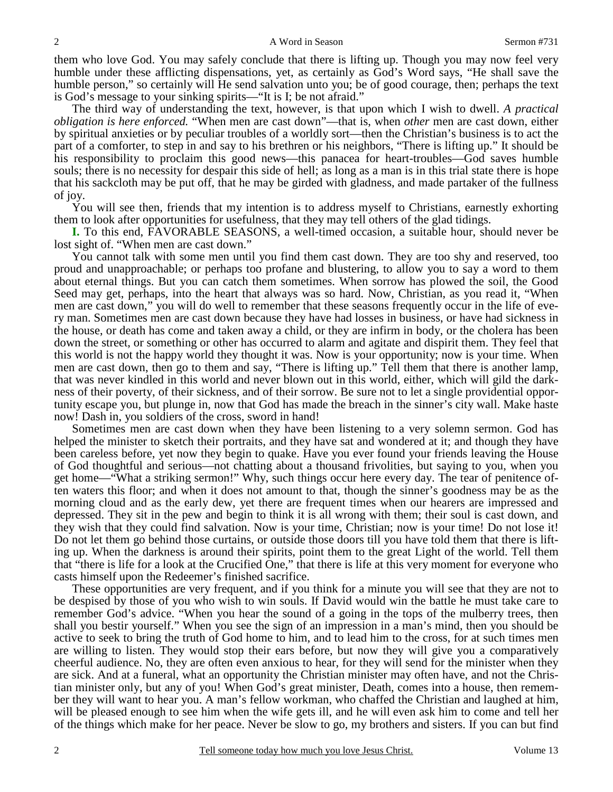them who love God. You may safely conclude that there is lifting up. Though you may now feel very humble under these afflicting dispensations, yet, as certainly as God's Word says, "He shall save the humble person," so certainly will He send salvation unto you; be of good courage, then; perhaps the text is God's message to your sinking spirits—"It is I; be not afraid."

 The third way of understanding the text, however, is that upon which I wish to dwell. *A practical obligation is here enforced.* "When men are cast down"—that is, when *other* men are cast down, either by spiritual anxieties or by peculiar troubles of a worldly sort—then the Christian's business is to act the part of a comforter, to step in and say to his brethren or his neighbors, "There is lifting up." It should be his responsibility to proclaim this good news—this panacea for heart-troubles—God saves humble souls; there is no necessity for despair this side of hell; as long as a man is in this trial state there is hope that his sackcloth may be put off, that he may be girded with gladness, and made partaker of the fullness of joy.

 You will see then, friends that my intention is to address myself to Christians, earnestly exhorting them to look after opportunities for usefulness, that they may tell others of the glad tidings.

**I.** To this end, FAVORABLE SEASONS, a well-timed occasion, a suitable hour, should never be lost sight of. "When men are cast down."

 You cannot talk with some men until you find them cast down. They are too shy and reserved, too proud and unapproachable; or perhaps too profane and blustering, to allow you to say a word to them about eternal things. But you can catch them sometimes. When sorrow has plowed the soil, the Good Seed may get, perhaps, into the heart that always was so hard. Now, Christian, as you read it, "When men are cast down," you will do well to remember that these seasons frequently occur in the life of every man. Sometimes men are cast down because they have had losses in business, or have had sickness in the house, or death has come and taken away a child, or they are infirm in body, or the cholera has been down the street, or something or other has occurred to alarm and agitate and dispirit them. They feel that this world is not the happy world they thought it was. Now is your opportunity; now is your time. When men are cast down, then go to them and say, "There is lifting up." Tell them that there is another lamp, that was never kindled in this world and never blown out in this world, either, which will gild the darkness of their poverty, of their sickness, and of their sorrow. Be sure not to let a single providential opportunity escape you, but plunge in, now that God has made the breach in the sinner's city wall. Make haste now! Dash in, you soldiers of the cross, sword in hand!

 Sometimes men are cast down when they have been listening to a very solemn sermon. God has helped the minister to sketch their portraits, and they have sat and wondered at it; and though they have been careless before, yet now they begin to quake. Have you ever found your friends leaving the House of God thoughtful and serious—not chatting about a thousand frivolities, but saying to you, when you get home—"What a striking sermon!" Why, such things occur here every day. The tear of penitence often waters this floor; and when it does not amount to that, though the sinner's goodness may be as the morning cloud and as the early dew, yet there are frequent times when our hearers are impressed and depressed. They sit in the pew and begin to think it is all wrong with them; their soul is cast down, and they wish that they could find salvation. Now is your time, Christian; now is your time! Do not lose it! Do not let them go behind those curtains, or outside those doors till you have told them that there is lifting up. When the darkness is around their spirits, point them to the great Light of the world. Tell them that "there is life for a look at the Crucified One," that there is life at this very moment for everyone who casts himself upon the Redeemer's finished sacrifice.

 These opportunities are very frequent, and if you think for a minute you will see that they are not to be despised by those of you who wish to win souls. If David would win the battle he must take care to remember God's advice. "When you hear the sound of a going in the tops of the mulberry trees, then shall you bestir yourself." When you see the sign of an impression in a man's mind, then you should be active to seek to bring the truth of God home to him, and to lead him to the cross, for at such times men are willing to listen. They would stop their ears before, but now they will give you a comparatively cheerful audience. No, they are often even anxious to hear, for they will send for the minister when they are sick. And at a funeral, what an opportunity the Christian minister may often have, and not the Christian minister only, but any of you! When God's great minister, Death, comes into a house, then remember they will want to hear you. A man's fellow workman, who chaffed the Christian and laughed at him, will be pleased enough to see him when the wife gets ill, and he will even ask him to come and tell her of the things which make for her peace. Never be slow to go, my brothers and sisters. If you can but find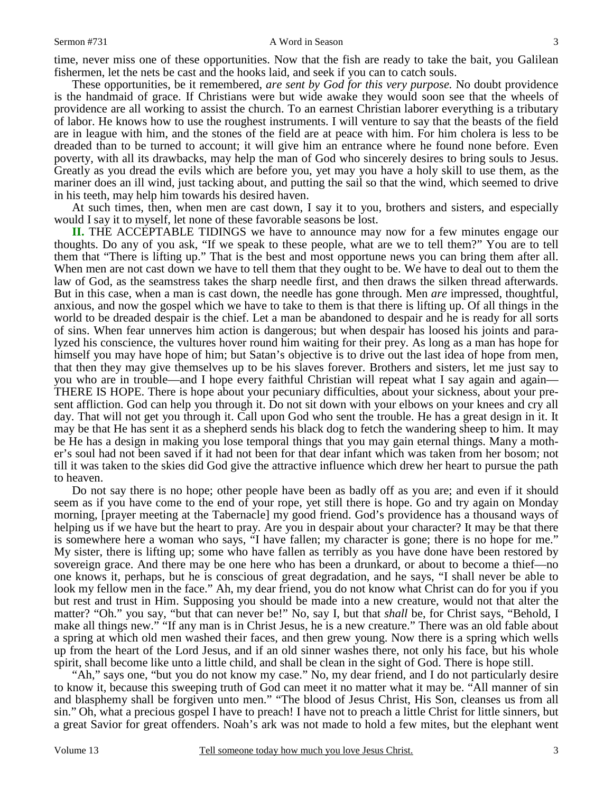#### Sermon #731 A Word in Season

time, never miss one of these opportunities. Now that the fish are ready to take the bait, you Galilean fishermen, let the nets be cast and the hooks laid, and seek if you can to catch souls.

 These opportunities, be it remembered, *are sent by God for this very purpose.* No doubt providence is the handmaid of grace. If Christians were but wide awake they would soon see that the wheels of providence are all working to assist the church. To an earnest Christian laborer everything is a tributary of labor. He knows how to use the roughest instruments. I will venture to say that the beasts of the field are in league with him, and the stones of the field are at peace with him. For him cholera is less to be dreaded than to be turned to account; it will give him an entrance where he found none before. Even poverty, with all its drawbacks, may help the man of God who sincerely desires to bring souls to Jesus. Greatly as you dread the evils which are before you, yet may you have a holy skill to use them, as the mariner does an ill wind, just tacking about, and putting the sail so that the wind, which seemed to drive in his teeth, may help him towards his desired haven.

 At such times, then, when men are cast down, I say it to you, brothers and sisters, and especially would I say it to myself, let none of these favorable seasons be lost.

**II.** THE ACCEPTABLE TIDINGS we have to announce may now for a few minutes engage our thoughts. Do any of you ask, "If we speak to these people, what are we to tell them?" You are to tell them that "There is lifting up." That is the best and most opportune news you can bring them after all. When men are not cast down we have to tell them that they ought to be. We have to deal out to them the law of God, as the seamstress takes the sharp needle first, and then draws the silken thread afterwards. But in this case, when a man is cast down, the needle has gone through. Men *are* impressed, thoughtful, anxious, and now the gospel which we have to take to them is that there is lifting up. Of all things in the world to be dreaded despair is the chief. Let a man be abandoned to despair and he is ready for all sorts of sins. When fear unnerves him action is dangerous; but when despair has loosed his joints and paralyzed his conscience, the vultures hover round him waiting for their prey. As long as a man has hope for himself you may have hope of him; but Satan's objective is to drive out the last idea of hope from men, that then they may give themselves up to be his slaves forever. Brothers and sisters, let me just say to you who are in trouble—and I hope every faithful Christian will repeat what I say again and again— THERE IS HOPE. There is hope about your pecuniary difficulties, about your sickness, about your present affliction. God can help you through it. Do not sit down with your elbows on your knees and cry all day. That will not get you through it. Call upon God who sent the trouble. He has a great design in it. It may be that He has sent it as a shepherd sends his black dog to fetch the wandering sheep to him. It may be He has a design in making you lose temporal things that you may gain eternal things. Many a mother's soul had not been saved if it had not been for that dear infant which was taken from her bosom; not till it was taken to the skies did God give the attractive influence which drew her heart to pursue the path to heaven.

 Do not say there is no hope; other people have been as badly off as you are; and even if it should seem as if you have come to the end of your rope, yet still there is hope. Go and try again on Monday morning, [prayer meeting at the Tabernacle] my good friend. God's providence has a thousand ways of helping us if we have but the heart to pray. Are you in despair about your character? It may be that there is somewhere here a woman who says, "I have fallen; my character is gone; there is no hope for me." My sister, there is lifting up; some who have fallen as terribly as you have done have been restored by sovereign grace. And there may be one here who has been a drunkard, or about to become a thief—no one knows it, perhaps, but he is conscious of great degradation, and he says, "I shall never be able to look my fellow men in the face." Ah, my dear friend, you do not know what Christ can do for you if you but rest and trust in Him. Supposing you should be made into a new creature, would not that alter the matter? "Oh." you say, "but that can never be!" No, say I, but that *shall* be, for Christ says, "Behold, I make all things new." "If any man is in Christ Jesus, he is a new creature." There was an old fable about a spring at which old men washed their faces, and then grew young. Now there is a spring which wells up from the heart of the Lord Jesus, and if an old sinner washes there, not only his face, but his whole spirit, shall become like unto a little child, and shall be clean in the sight of God. There is hope still.

 "Ah," says one, "but you do not know my case." No, my dear friend, and I do not particularly desire to know it, because this sweeping truth of God can meet it no matter what it may be. "All manner of sin and blasphemy shall be forgiven unto men." "The blood of Jesus Christ, His Son, cleanses us from all sin." Oh, what a precious gospel I have to preach! I have not to preach a little Christ for little sinners, but a great Savior for great offenders. Noah's ark was not made to hold a few mites, but the elephant went

3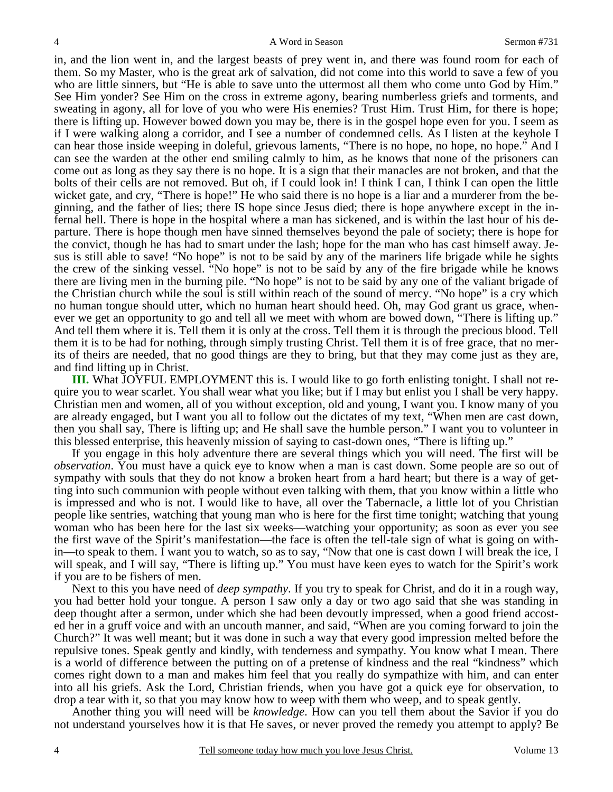in, and the lion went in, and the largest beasts of prey went in, and there was found room for each of them. So my Master, who is the great ark of salvation, did not come into this world to save a few of you who are little sinners, but "He is able to save unto the uttermost all them who come unto God by Him." See Him yonder? See Him on the cross in extreme agony, bearing numberless griefs and torments, and sweating in agony, all for love of you who were His enemies? Trust Him. Trust Him, for there is hope; there is lifting up. However bowed down you may be, there is in the gospel hope even for you. I seem as if I were walking along a corridor, and I see a number of condemned cells. As I listen at the keyhole I can hear those inside weeping in doleful, grievous laments, "There is no hope, no hope, no hope." And I can see the warden at the other end smiling calmly to him, as he knows that none of the prisoners can come out as long as they say there is no hope. It is a sign that their manacles are not broken, and that the bolts of their cells are not removed. But oh, if I could look in! I think I can, I think I can open the little wicket gate, and cry, "There is hope!" He who said there is no hope is a liar and a murderer from the beginning, and the father of lies; there IS hope since Jesus died; there is hope anywhere except in the infernal hell. There is hope in the hospital where a man has sickened, and is within the last hour of his departure. There is hope though men have sinned themselves beyond the pale of society; there is hope for the convict, though he has had to smart under the lash; hope for the man who has cast himself away. Jesus is still able to save! "No hope" is not to be said by any of the mariners life brigade while he sights the crew of the sinking vessel. "No hope" is not to be said by any of the fire brigade while he knows there are living men in the burning pile. "No hope" is not to be said by any one of the valiant brigade of the Christian church while the soul is still within reach of the sound of mercy. "No hope" is a cry which no human tongue should utter, which no human heart should heed. Oh, may God grant us grace, whenever we get an opportunity to go and tell all we meet with whom are bowed down, "There is lifting up." And tell them where it is. Tell them it is only at the cross. Tell them it is through the precious blood. Tell them it is to be had for nothing, through simply trusting Christ. Tell them it is of free grace, that no merits of theirs are needed, that no good things are they to bring, but that they may come just as they are, and find lifting up in Christ.

**III.** What JOYFUL EMPLOYMENT this is. I would like to go forth enlisting tonight. I shall not require you to wear scarlet. You shall wear what you like; but if I may but enlist you I shall be very happy. Christian men and women, all of you without exception, old and young, I want you. I know many of you are already engaged, but I want you all to follow out the dictates of my text, "When men are cast down, then you shall say, There is lifting up; and He shall save the humble person." I want you to volunteer in this blessed enterprise, this heavenly mission of saying to cast-down ones, "There is lifting up."

 If you engage in this holy adventure there are several things which you will need. The first will be *observation*. You must have a quick eye to know when a man is cast down. Some people are so out of sympathy with souls that they do not know a broken heart from a hard heart; but there is a way of getting into such communion with people without even talking with them, that you know within a little who is impressed and who is not. I would like to have, all over the Tabernacle, a little lot of you Christian people like sentries, watching that young man who is here for the first time tonight; watching that young woman who has been here for the last six weeks—watching your opportunity; as soon as ever you see the first wave of the Spirit's manifestation—the face is often the tell-tale sign of what is going on within—to speak to them. I want you to watch, so as to say, "Now that one is cast down I will break the ice, I will speak, and I will say, "There is lifting up." You must have keen eyes to watch for the Spirit's work if you are to be fishers of men.

 Next to this you have need of *deep sympathy*. If you try to speak for Christ, and do it in a rough way, you had better hold your tongue. A person I saw only a day or two ago said that she was standing in deep thought after a sermon, under which she had been devoutly impressed, when a good friend accosted her in a gruff voice and with an uncouth manner, and said, "When are you coming forward to join the Church?" It was well meant; but it was done in such a way that every good impression melted before the repulsive tones. Speak gently and kindly, with tenderness and sympathy. You know what I mean. There is a world of difference between the putting on of a pretense of kindness and the real "kindness" which comes right down to a man and makes him feel that you really do sympathize with him, and can enter into all his griefs. Ask the Lord, Christian friends, when you have got a quick eye for observation, to drop a tear with it, so that you may know how to weep with them who weep, and to speak gently.

 Another thing you will need will be *knowledge*. How can you tell them about the Savior if you do not understand yourselves how it is that He saves, or never proved the remedy you attempt to apply? Be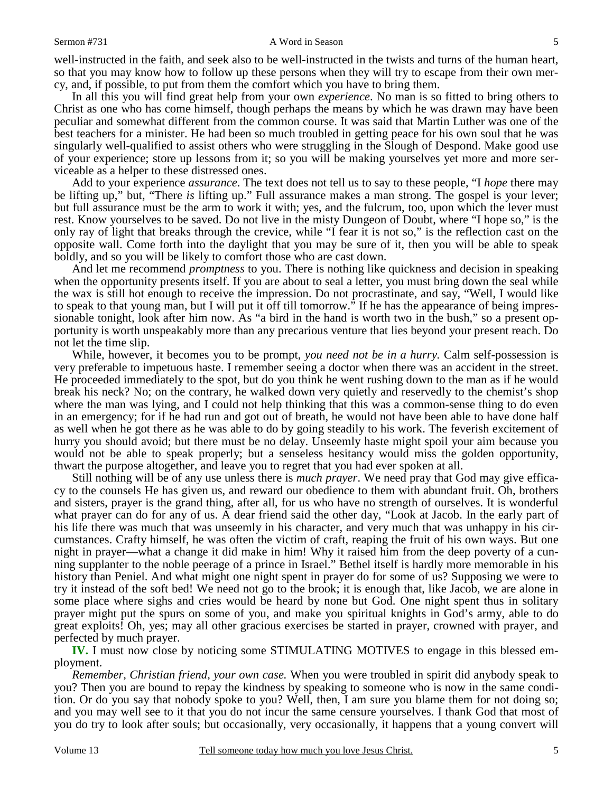#### Sermon #731 A Word in Season

well-instructed in the faith, and seek also to be well-instructed in the twists and turns of the human heart, so that you may know how to follow up these persons when they will try to escape from their own mercy, and, if possible, to put from them the comfort which you have to bring them.

 In all this you will find great help from your own *experience*. No man is so fitted to bring others to Christ as one who has come himself, though perhaps the means by which he was drawn may have been peculiar and somewhat different from the common course. It was said that Martin Luther was one of the best teachers for a minister. He had been so much troubled in getting peace for his own soul that he was singularly well-qualified to assist others who were struggling in the Slough of Despond. Make good use of your experience; store up lessons from it; so you will be making yourselves yet more and more serviceable as a helper to these distressed ones.

 Add to your experience *assurance*. The text does not tell us to say to these people, "I *hope* there may be lifting up," but, "There *is* lifting up." Full assurance makes a man strong. The gospel is your lever; but full assurance must be the arm to work it with; yes, and the fulcrum, too, upon which the lever must rest. Know yourselves to be saved. Do not live in the misty Dungeon of Doubt, where "I hope so," is the only ray of light that breaks through the crevice, while "I fear it is not so," is the reflection cast on the opposite wall. Come forth into the daylight that you may be sure of it, then you will be able to speak boldly, and so you will be likely to comfort those who are cast down.

 And let me recommend *promptness* to you. There is nothing like quickness and decision in speaking when the opportunity presents itself. If you are about to seal a letter, you must bring down the seal while the wax is still hot enough to receive the impression. Do not procrastinate, and say, "Well, I would like to speak to that young man, but I will put it off till tomorrow." If he has the appearance of being impressionable tonight, look after him now. As "a bird in the hand is worth two in the bush," so a present opportunity is worth unspeakably more than any precarious venture that lies beyond your present reach. Do not let the time slip.

 While, however, it becomes you to be prompt, *you need not be in a hurry.* Calm self-possession is very preferable to impetuous haste. I remember seeing a doctor when there was an accident in the street. He proceeded immediately to the spot, but do you think he went rushing down to the man as if he would break his neck? No; on the contrary, he walked down very quietly and reservedly to the chemist's shop where the man was lying, and I could not help thinking that this was a common-sense thing to do even in an emergency; for if he had run and got out of breath, he would not have been able to have done half as well when he got there as he was able to do by going steadily to his work. The feverish excitement of hurry you should avoid; but there must be no delay. Unseemly haste might spoil your aim because you would not be able to speak properly; but a senseless hesitancy would miss the golden opportunity, thwart the purpose altogether, and leave you to regret that you had ever spoken at all.

 Still nothing will be of any use unless there is *much prayer*. We need pray that God may give efficacy to the counsels He has given us, and reward our obedience to them with abundant fruit. Oh, brothers and sisters, prayer is the grand thing, after all, for us who have no strength of ourselves. It is wonderful what prayer can do for any of us. A dear friend said the other day, "Look at Jacob. In the early part of his life there was much that was unseemly in his character, and very much that was unhappy in his circumstances. Crafty himself, he was often the victim of craft, reaping the fruit of his own ways. But one night in prayer—what a change it did make in him! Why it raised him from the deep poverty of a cunning supplanter to the noble peerage of a prince in Israel." Bethel itself is hardly more memorable in his history than Peniel. And what might one night spent in prayer do for some of us? Supposing we were to try it instead of the soft bed! We need not go to the brook; it is enough that, like Jacob, we are alone in some place where sighs and cries would be heard by none but God. One night spent thus in solitary prayer might put the spurs on some of you, and make you spiritual knights in God's army, able to do great exploits! Oh, yes; may all other gracious exercises be started in prayer, crowned with prayer, and perfected by much prayer.

**IV.** I must now close by noticing some STIMULATING MOTIVES to engage in this blessed employment.

*Remember, Christian friend, your own case.* When you were troubled in spirit did anybody speak to you? Then you are bound to repay the kindness by speaking to someone who is now in the same condition. Or do you say that nobody spoke to you? Well, then, I am sure you blame them for not doing so; and you may well see to it that you do not incur the same censure yourselves. I thank God that most of you do try to look after souls; but occasionally, very occasionally, it happens that a young convert will